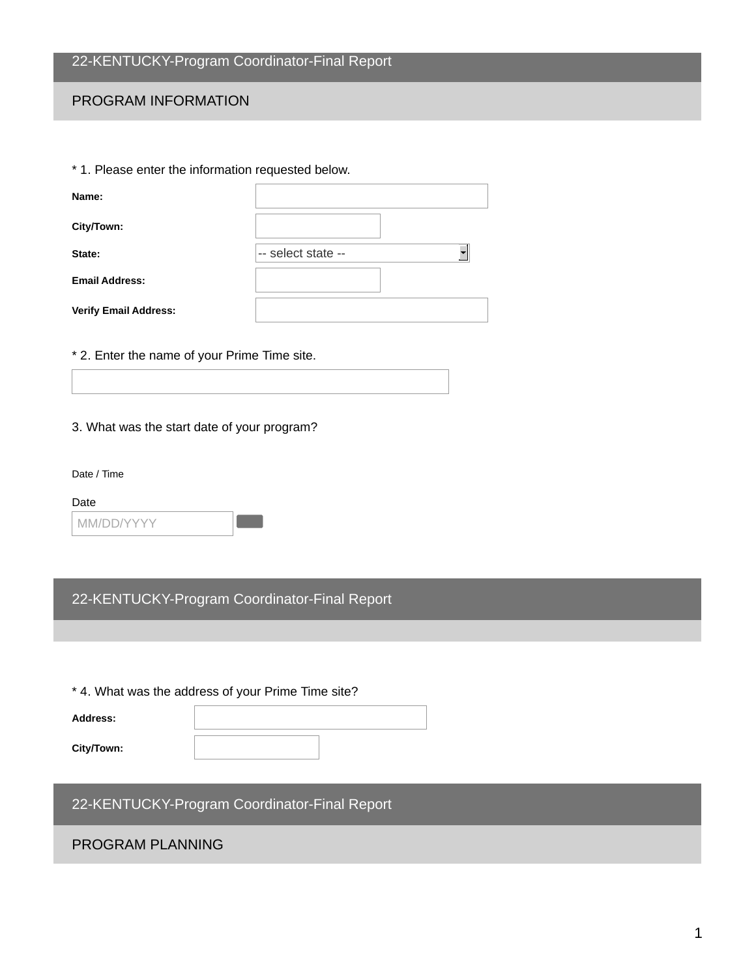# 22-KENTUCKY-Program Coordinator-Final Report

### PROGRAM INFORMATION

| * 1. Please enter the information requested below. |                    |  |
|----------------------------------------------------|--------------------|--|
| Name:                                              |                    |  |
| City/Town:                                         |                    |  |
| State:                                             | -- select state -- |  |
| <b>Email Address:</b>                              |                    |  |
| <b>Verify Email Address:</b>                       |                    |  |
|                                                    |                    |  |

## \* 2. Enter the name of your Prime Time site.

3. What was the start date of your program?

Date / Time

Date

| MM/DD/YYYY |
|------------|
|------------|

22-KENTUCKY-Program Coordinator-Final Report

\* 4. What was the address of your Prime Time site?

**Address: City/Town:**

22-KENTUCKY-Program Coordinator-Final Report

## PROGRAM PLANNING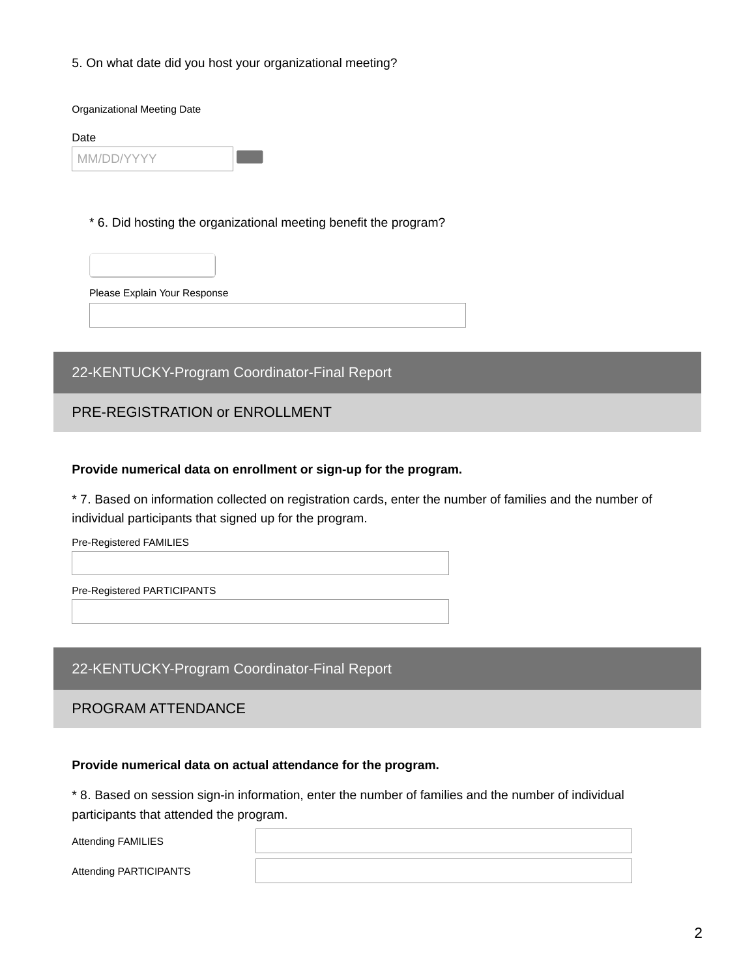5. On what date did you host your organizational meeting?

Organizational Meeting Date

Date

| MM/DD/YYY |  |
|-----------|--|

\* 6. Did hosting the organizational meeting benefit the program?



Please Explain Your Response

# 22-KENTUCKY-Program Coordinator-Final Report

### PRE-REGISTRATION or ENROLLMENT

#### **Provide numerical data on enrollment or sign-up for the program.**

\* 7. Based on information collected on registration cards, enter the number of families and the number of individual participants that signed up for the program.

Pre-Registered FAMILIES

Pre-Registered PARTICIPANTS

#### 22-KENTUCKY-Program Coordinator-Final Report

#### PROGRAM ATTENDANCE

#### **Provide numerical data on actual attendance for the program.**

\* 8. Based on session sign-in information, enter the number of families and the number of individual participants that attended the program.

| Attending FAMILIES     |  |
|------------------------|--|
| Attending PARTICIPANTS |  |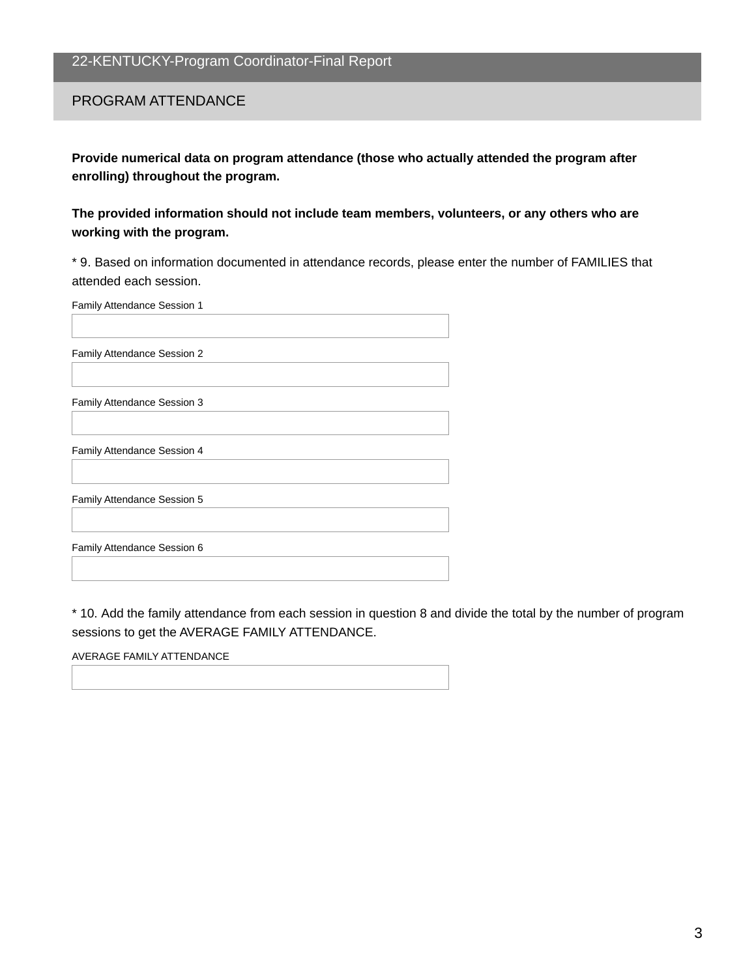#### PROGRAM ATTENDANCE

**Provide numerical data on program attendance (those who actually attended the program after enrolling) throughout the program.**

**The provided information should not include team members, volunteers, or any others who are working with the program.**

\* 9. Based on information documented in attendance records, please enter the number of FAMILIES that attended each session.

| Family Attendance Session 1 |  |
|-----------------------------|--|
|                             |  |

Family Attendance Session 2

Family Attendance Session 3

Family Attendance Session 4

Family Attendance Session 5

Family Attendance Session 6

\* 10. Add the family attendance from each session in question 8 and divide the total by the number of program sessions to get the AVERAGE FAMILY ATTENDANCE.

AVERAGE FAMILY ATTENDANCE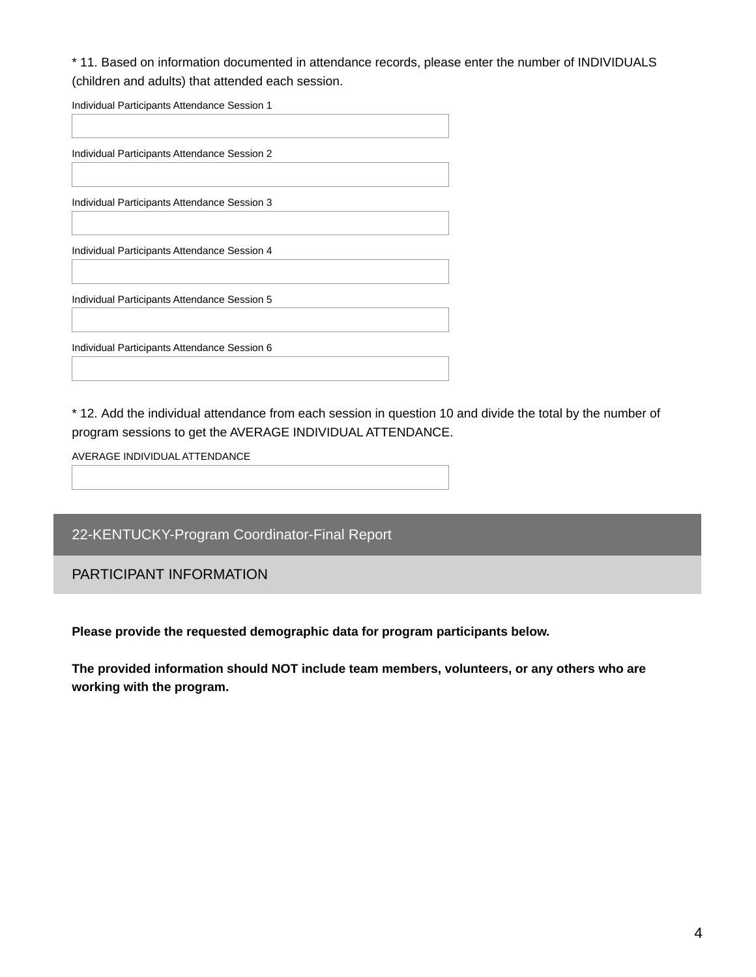\* 11. Based on information documented in attendance records, please enter the number of INDIVIDUALS (children and adults) that attended each session.

Individual Participants Attendance Session 1

| Individual Participants Attendance Session 2 |
|----------------------------------------------|
|                                              |
| Individual Participants Attendance Session 3 |
|                                              |
| Individual Participants Attendance Session 4 |
|                                              |
| Individual Participants Attendance Session 5 |
|                                              |
| Individual Participants Attendance Session 6 |
|                                              |

\* 12. Add the individual attendance from each session in question 10 and divide the total by the number of program sessions to get the AVERAGE INDIVIDUAL ATTENDANCE.

AVERAGE INDIVIDUALATTENDANCE

22-KENTUCKY-Program Coordinator-Final Report

PARTICIPANT INFORMATION

**Please provide the requested demographic data for program participants below.**

**The provided information should NOT include team members, volunteers, or any others who are working with the program.**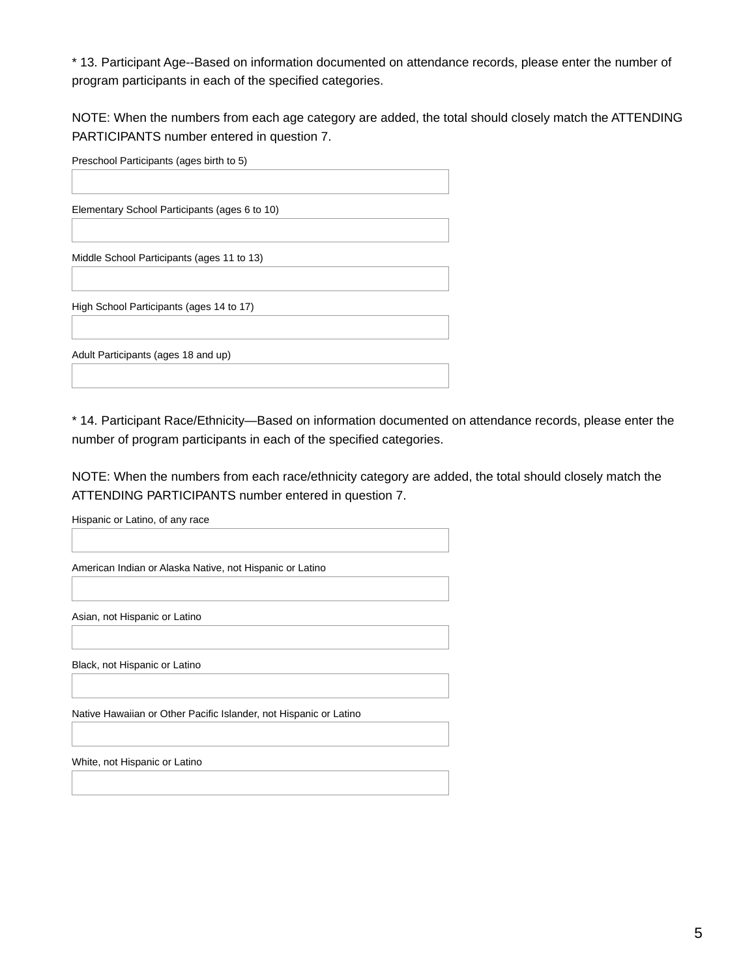\* 13. Participant Age--Based on information documented on attendance records, please enter the number of program participants in each of the specified categories.

NOTE: When the numbers from each age category are added, the total should closely match the ATTENDING PARTICIPANTS number entered in question 7.

| Preschool Participants (ages birth to 5)      |
|-----------------------------------------------|
|                                               |
|                                               |
| Elementary School Participants (ages 6 to 10) |
|                                               |
|                                               |
| Middle School Participants (ages 11 to 13)    |
|                                               |
|                                               |
| High School Participants (ages 14 to 17)      |
|                                               |
|                                               |
| Adult Participants (ages 18 and up)           |
|                                               |
|                                               |

\* 14. Participant Race/Ethnicity—Based on information documented on attendance records, please enter the number of program participants in each of the specified categories.

NOTE: When the numbers from each race/ethnicity category are added, the total should closely match the ATTENDING PARTICIPANTS number entered in question 7.

Hispanic or Latino, of any race

American Indian or Alaska Native, not Hispanic or Latino

Asian, not Hispanic or Latino

Black, not Hispanic or Latino

Native Hawaiian or Other Pacific Islander, not Hispanic or Latino

White, not Hispanic or Latino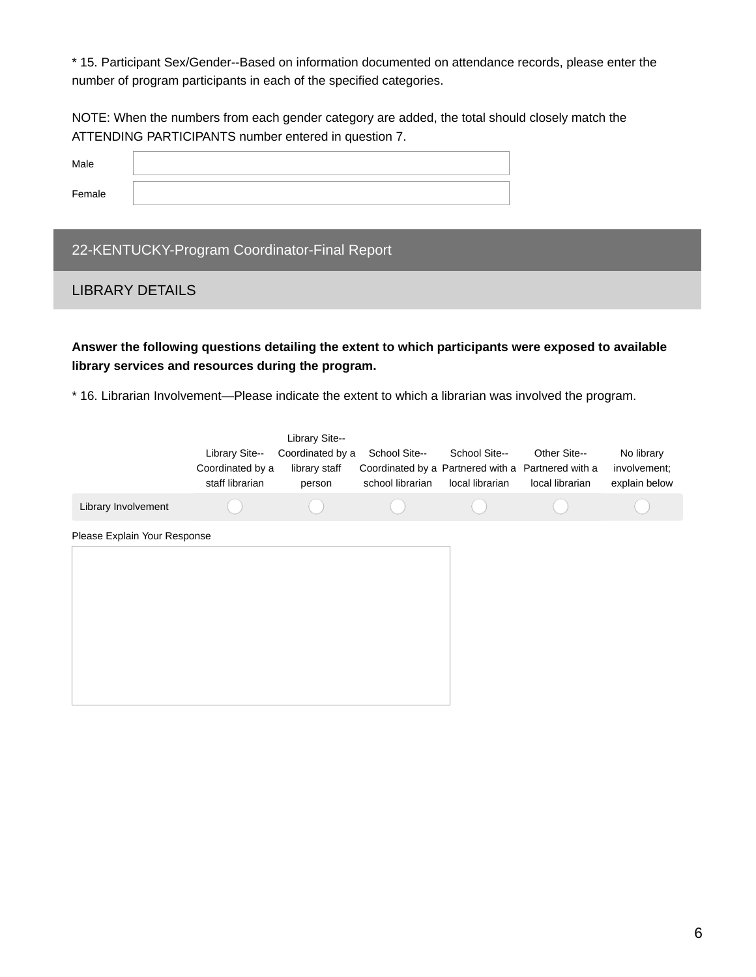\* 15. Participant Sex/Gender--Based on information documented on attendance records, please enter the number of program participants in each of the specified categories.

NOTE: When the numbers from each gender category are added, the total should closely match the ATTENDING PARTICIPANTS number entered in question 7.

| Male   |  |
|--------|--|
| Female |  |

# 22-KENTUCKY-Program Coordinator-Final Report

#### LIBRARY DETAILS

**Answer the following questions detailing the extent to which participants were exposed to available library services and resources during the program.**

\* 16. Librarian Involvement—Please indicate the extent to which a librarian was involved the program.

|                              | Library Site--<br>Coordinated by a<br>staff librarian | Library Site--<br>Coordinated by a<br>library staff<br>person | School Site--<br>Coordinated by a Partnered with a Partnered with a<br>school librarian | School Site--<br>local librarian | Other Site--<br>local librarian | No library<br>involvement;<br>explain below |
|------------------------------|-------------------------------------------------------|---------------------------------------------------------------|-----------------------------------------------------------------------------------------|----------------------------------|---------------------------------|---------------------------------------------|
| Library Involvement          |                                                       |                                                               |                                                                                         |                                  |                                 |                                             |
| Please Explain Your Response |                                                       |                                                               |                                                                                         |                                  |                                 |                                             |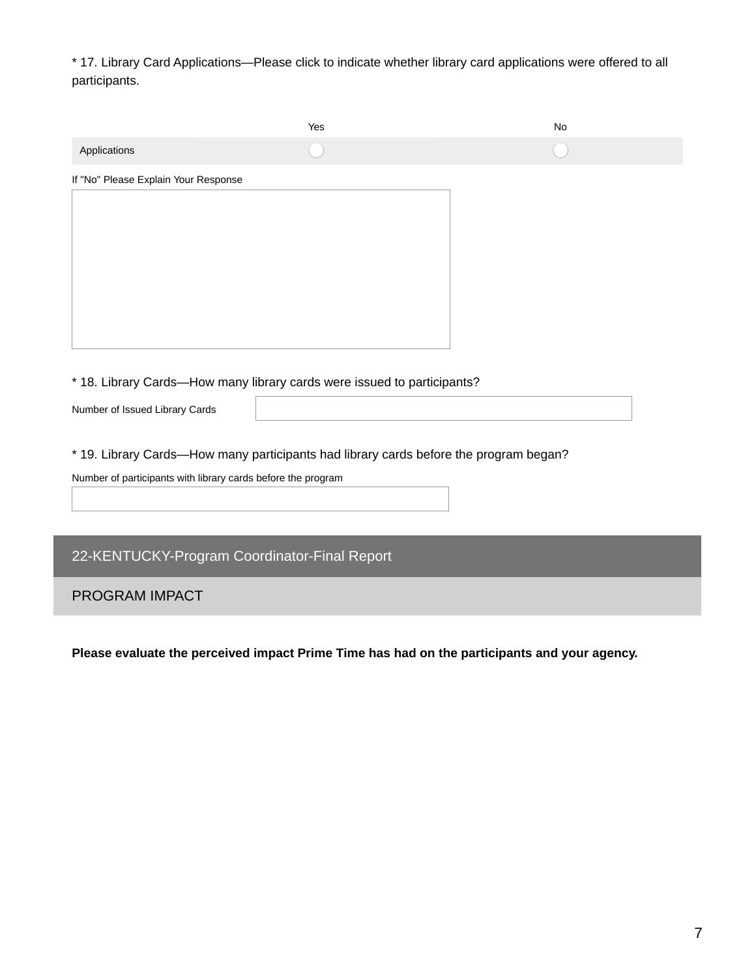\* 17. Library Card Applications—Please click to indicate whether library card applications were offered to all participants.

|                                                              | Yes                                                                                   | <b>No</b> |
|--------------------------------------------------------------|---------------------------------------------------------------------------------------|-----------|
| Applications                                                 |                                                                                       |           |
| If "No" Please Explain Your Response                         |                                                                                       |           |
|                                                              |                                                                                       |           |
|                                                              |                                                                                       |           |
|                                                              |                                                                                       |           |
|                                                              |                                                                                       |           |
|                                                              |                                                                                       |           |
|                                                              |                                                                                       |           |
|                                                              |                                                                                       |           |
|                                                              | * 18. Library Cards-How many library cards were issued to participants?               |           |
| Number of Issued Library Cards                               |                                                                                       |           |
|                                                              |                                                                                       |           |
|                                                              | * 19. Library Cards-How many participants had library cards before the program began? |           |
| Number of participants with library cards before the program |                                                                                       |           |
|                                                              |                                                                                       |           |
|                                                              |                                                                                       |           |
| 22-KENTUCKY-Program Coordinator-Final Report                 |                                                                                       |           |
| <b>PROGRAM IMPACT</b>                                        |                                                                                       |           |

**Please evaluate the perceived impact Prime Time has had on the participants and your agency.**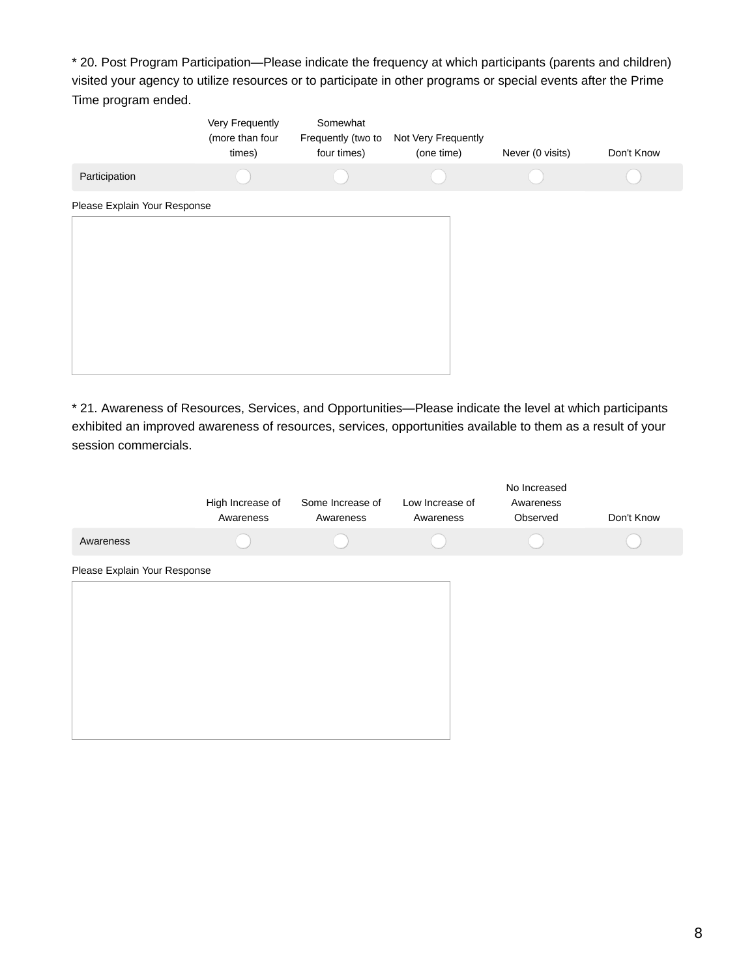\* 20. Post Program Participation—Please indicate the frequency at which participants (parents and children) visited your agency to utilize resources or to participate in other programs or special events after the Prime Time program ended.

|                              | Very Frequently<br>(more than four<br>times) | Somewhat<br>Frequently (two to<br>four times) | Not Very Frequently<br>(one time) | Never (0 visits) | Don't Know |
|------------------------------|----------------------------------------------|-----------------------------------------------|-----------------------------------|------------------|------------|
| Participation                |                                              |                                               |                                   |                  |            |
| Please Explain Your Response |                                              |                                               |                                   |                  |            |
|                              |                                              |                                               |                                   |                  |            |
|                              |                                              |                                               |                                   |                  |            |
|                              |                                              |                                               |                                   |                  |            |
|                              |                                              |                                               |                                   |                  |            |
|                              |                                              |                                               |                                   |                  |            |
|                              |                                              |                                               |                                   |                  |            |

\* 21. Awareness of Resources, Services, and Opportunities—Please indicate the level at which participants exhibited an improved awareness of resources, services, opportunities available to them as a result of your session commercials.

|                              | High Increase of<br>Awareness | Some Increase of<br>Awareness | Low Increase of<br>Awareness | No Increased<br>Awareness<br>Observed | Don't Know |
|------------------------------|-------------------------------|-------------------------------|------------------------------|---------------------------------------|------------|
| Awareness                    |                               |                               |                              |                                       |            |
| Please Explain Your Response |                               |                               |                              |                                       |            |
|                              |                               |                               |                              |                                       |            |
|                              |                               |                               |                              |                                       |            |
|                              |                               |                               |                              |                                       |            |
|                              |                               |                               |                              |                                       |            |
|                              |                               |                               |                              |                                       |            |
|                              |                               |                               |                              |                                       |            |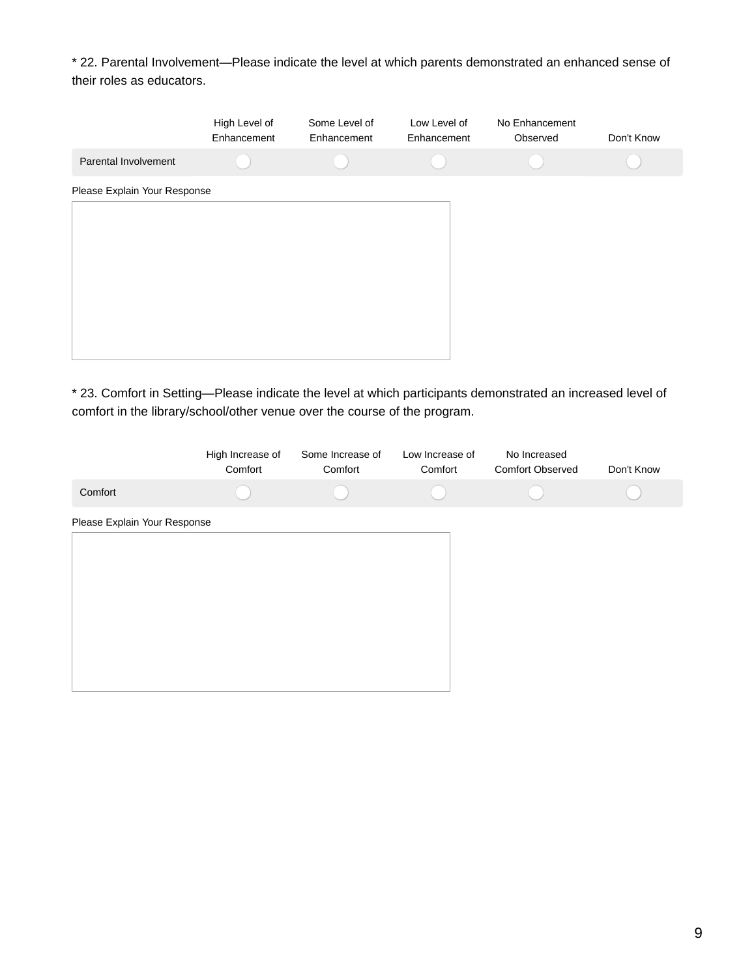\* 22. Parental Involvement—Please indicate the level at which parents demonstrated an enhanced sense of their roles as educators.

|                              | High Level of<br>Enhancement | Some Level of<br>Enhancement | Low Level of<br>Enhancement | No Enhancement<br>Observed | Don't Know |
|------------------------------|------------------------------|------------------------------|-----------------------------|----------------------------|------------|
| Parental Involvement         |                              |                              |                             |                            |            |
| Please Explain Your Response |                              |                              |                             |                            |            |
|                              |                              |                              |                             |                            |            |
|                              |                              |                              |                             |                            |            |
|                              |                              |                              |                             |                            |            |
|                              |                              |                              |                             |                            |            |
|                              |                              |                              |                             |                            |            |
|                              |                              |                              |                             |                            |            |

\* 23. Comfort in Setting—Please indicate the level at which participants demonstrated an increased level of comfort in the library/school/other venue over the course of the program.

|                              | High Increase of<br>Comfort | Some Increase of<br>Comfort | Low Increase of<br>Comfort | No Increased<br><b>Comfort Observed</b> | Don't Know |
|------------------------------|-----------------------------|-----------------------------|----------------------------|-----------------------------------------|------------|
| Comfort                      |                             |                             |                            |                                         |            |
| Please Explain Your Response |                             |                             |                            |                                         |            |
|                              |                             |                             |                            |                                         |            |
|                              |                             |                             |                            |                                         |            |
|                              |                             |                             |                            |                                         |            |
|                              |                             |                             |                            |                                         |            |
|                              |                             |                             |                            |                                         |            |
|                              |                             |                             |                            |                                         |            |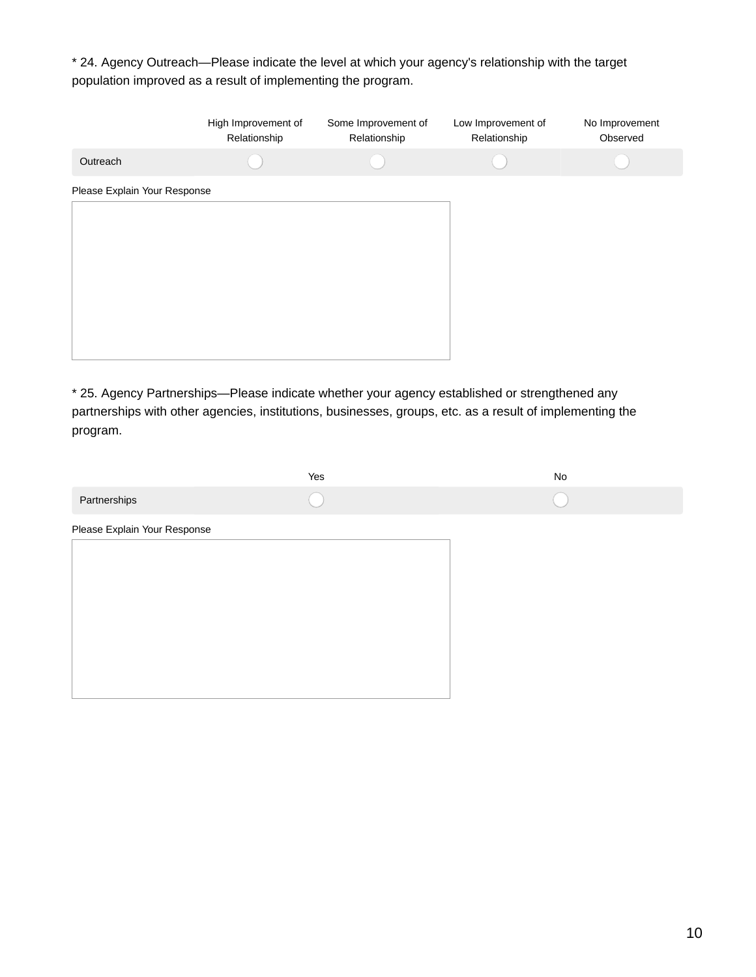\* 24. Agency Outreach—Please indicate the level at which your agency's relationship with the target population improved as a result of implementing the program.

|                              | High Improvement of<br>Relationship | Some Improvement of<br>Relationship | Low Improvement of<br>Relationship | No Improvement<br>Observed |
|------------------------------|-------------------------------------|-------------------------------------|------------------------------------|----------------------------|
| Outreach                     |                                     |                                     |                                    |                            |
| Please Explain Your Response |                                     |                                     |                                    |                            |
|                              |                                     |                                     |                                    |                            |
|                              |                                     |                                     |                                    |                            |
|                              |                                     |                                     |                                    |                            |
|                              |                                     |                                     |                                    |                            |
|                              |                                     |                                     |                                    |                            |
|                              |                                     |                                     |                                    |                            |

\* 25. Agency Partnerships—Please indicate whether your agency established or strengthened any partnerships with other agencies, institutions, businesses, groups, etc. as a result of implementing the program.

|                              | Yes | $\rm No$ |
|------------------------------|-----|----------|
| Partnerships                 |     |          |
| Please Explain Your Response |     |          |
|                              |     |          |
|                              |     |          |
|                              |     |          |
|                              |     |          |
|                              |     |          |
|                              |     |          |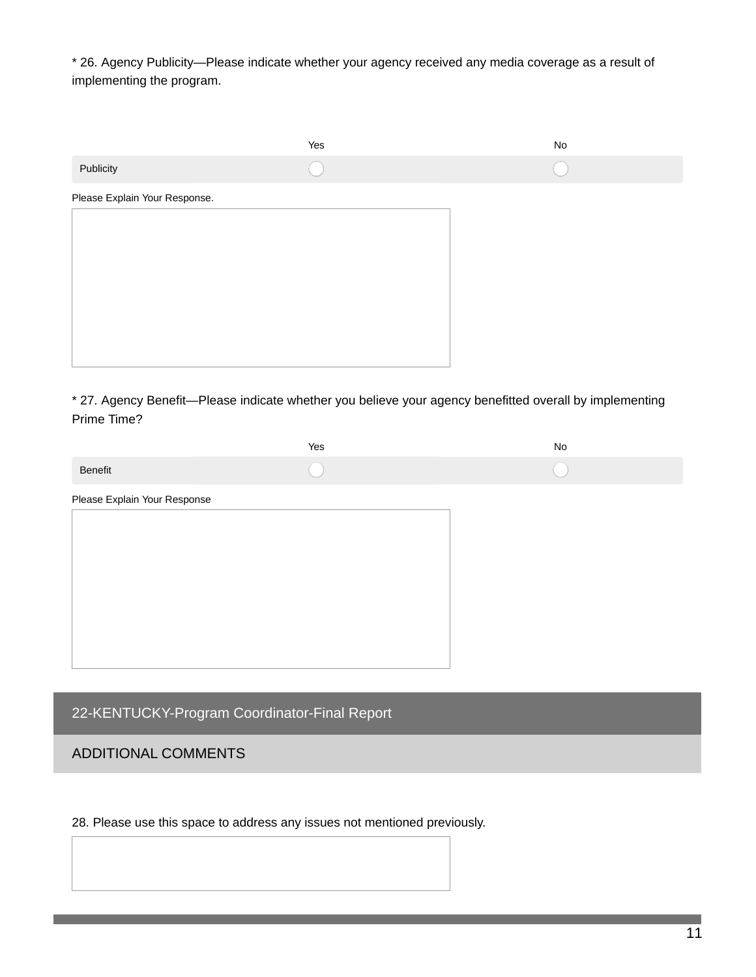\* 26. Agency Publicity—Please indicate whether your agency received any media coverage as a result of implementing the program.

|                               | Yes | No |
|-------------------------------|-----|----|
| Publicity                     |     |    |
| Please Explain Your Response. |     |    |
|                               |     |    |
|                               |     |    |
|                               |     |    |
|                               |     |    |
|                               |     |    |
|                               |     |    |

\* 27. Agency Benefit—Please indicate whether you believe your agency benefitted overall by implementing Prime Time?

|                              | Yes | No |
|------------------------------|-----|----|
| Benefit                      |     |    |
| Please Explain Your Response |     |    |
|                              |     |    |
|                              |     |    |
|                              |     |    |
|                              |     |    |
|                              |     |    |
|                              |     |    |
|                              |     |    |

22-KENTUCKY-Program Coordinator-Final Report

# ADDITIONAL COMMENTS

28. Please use this space to address any issues not mentioned previously.